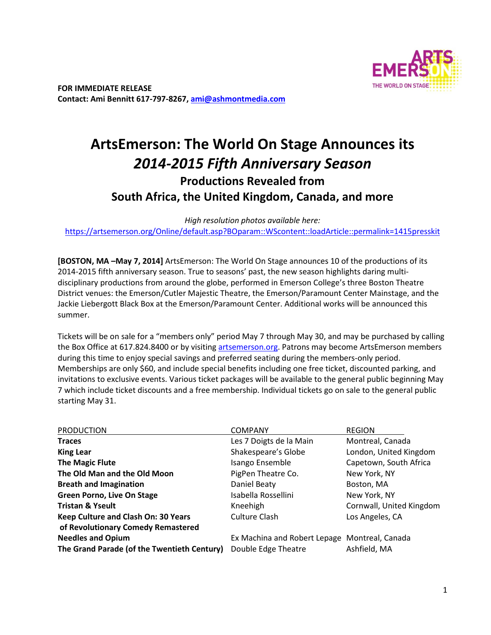

# **ArtsEmerson: The World On Stage Announces its**  *2014-2015 Fifth Anniversary Season* **Productions Revealed from South Africa, the United Kingdom, Canada, and more**

*High resolution photos available here:*  https://artsemerson.org/Online/default.asp?BOparam::WScontent::loadArticle::permalink=1415presskit

**[BOSTON, MA –May 7, 2014]** ArtsEmerson: The World On Stage announces 10 of the productions of its 2014-2015 fifth anniversary season. True to seasons' past, the new season highlights daring multidisciplinary productions from around the globe, performed in Emerson College's three Boston Theatre District venues: the Emerson/Cutler Majestic Theatre, the Emerson/Paramount Center Mainstage, and the Jackie Liebergott Black Box at the Emerson/Paramount Center. Additional works will be announced this summer.

Tickets will be on sale for a "members only" period May 7 through May 30, and may be purchased by calling the Box Office at 617.824.8400 or by visiting artsemerson.org. Patrons may become ArtsEmerson members during this time to enjoy special savings and preferred seating during the members-only period. Memberships are only \$60, and include special benefits including one free ticket, discounted parking, and invitations to exclusive events. Various ticket packages will be available to the general public beginning May 7 which include ticket discounts and a free membership. Individual tickets go on sale to the general public starting May 31.

| <b>PRODUCTION</b>                           | <b>COMPANY</b>                                | <b>REGION</b>            |
|---------------------------------------------|-----------------------------------------------|--------------------------|
| <b>Traces</b>                               | Les 7 Doigts de la Main                       | Montreal, Canada         |
| <b>King Lear</b>                            | Shakespeare's Globe                           | London, United Kingdom   |
| <b>The Magic Flute</b>                      | Isango Ensemble                               | Capetown, South Africa   |
| The Old Man and the Old Moon                | PigPen Theatre Co.                            | New York, NY             |
| <b>Breath and Imagination</b>               | Daniel Beaty                                  | Boston, MA               |
| <b>Green Porno, Live On Stage</b>           | Isabella Rossellini                           | New York, NY             |
| <b>Tristan &amp; Yseult</b>                 | Kneehigh                                      | Cornwall, United Kingdom |
| Keep Culture and Clash On: 30 Years         | Culture Clash                                 | Los Angeles, CA          |
| of Revolutionary Comedy Remastered          |                                               |                          |
| <b>Needles and Opium</b>                    | Ex Machina and Robert Lepage Montreal, Canada |                          |
| The Grand Parade (of the Twentieth Century) | Double Edge Theatre                           | Ashfield, MA             |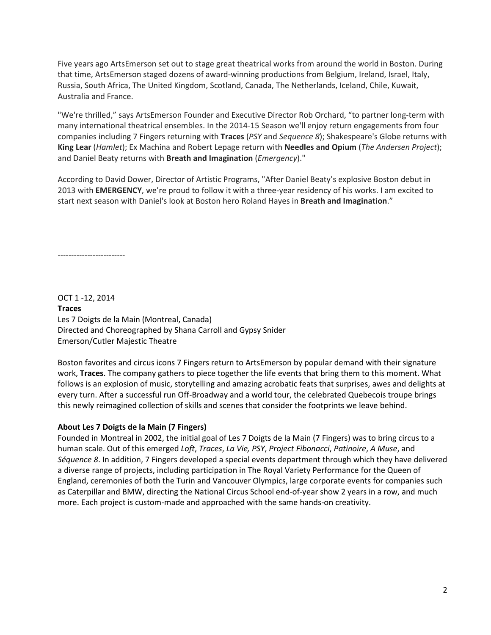Five years ago ArtsEmerson set out to stage great theatrical works from around the world in Boston. During that time, ArtsEmerson staged dozens of award-winning productions from Belgium, Ireland, Israel, Italy, Russia, South Africa, The United Kingdom, Scotland, Canada, The Netherlands, Iceland, Chile, Kuwait, Australia and France.

"We're thrilled," says ArtsEmerson Founder and Executive Director Rob Orchard, "to partner long-term with many international theatrical ensembles. In the 2014-15 Season we'll enjoy return engagements from four companies including 7 Fingers returning with **Traces** (*PSY* and *Sequence 8*); Shakespeare's Globe returns with **King Lear** (*Hamlet*); Ex Machina and Robert Lepage return with **Needles and Opium** (*The Andersen Project*); and Daniel Beaty returns with **Breath and Imagination** (*Emergency*)."

According to David Dower, Director of Artistic Programs, "After Daniel Beaty's explosive Boston debut in 2013 with **EMERGENCY**, we're proud to follow it with a three-year residency of his works. I am excited to start next season with Daniel's look at Boston hero Roland Hayes in **Breath and Imagination**."

-------------------------

OCT 1 -12, 2014 **Traces**  Les 7 Doigts de la Main (Montreal, Canada) Directed and Choreographed by Shana Carroll and Gypsy Snider Emerson/Cutler Majestic Theatre

Boston favorites and circus icons 7 Fingers return to ArtsEmerson by popular demand with their signature work, **Traces**. The company gathers to piece together the life events that bring them to this moment. What follows is an explosion of music, storytelling and amazing acrobatic feats that surprises, awes and delights at every turn. After a successful run Off-Broadway and a world tour, the celebrated Quebecois troupe brings this newly reimagined collection of skills and scenes that consider the footprints we leave behind.

## **About Les 7 Doigts de la Main (7 Fingers)**

Founded in Montreal in 2002, the initial goal of Les 7 Doigts de la Main (7 Fingers) was to bring circus to a human scale. Out of this emerged *Loft*, *Traces*, *La Vie, PSY*, *Project Fibonacci*, *Patinoire*, *A Muse*, and *Séquence 8*. In addition, 7 Fingers developed a special events department through which they have delivered a diverse range of projects, including participation in The Royal Variety Performance for the Queen of England, ceremonies of both the Turin and Vancouver Olympics, large corporate events for companies such as Caterpillar and BMW, directing the National Circus School end-of-year show 2 years in a row, and much more. Each project is custom-made and approached with the same hands-on creativity.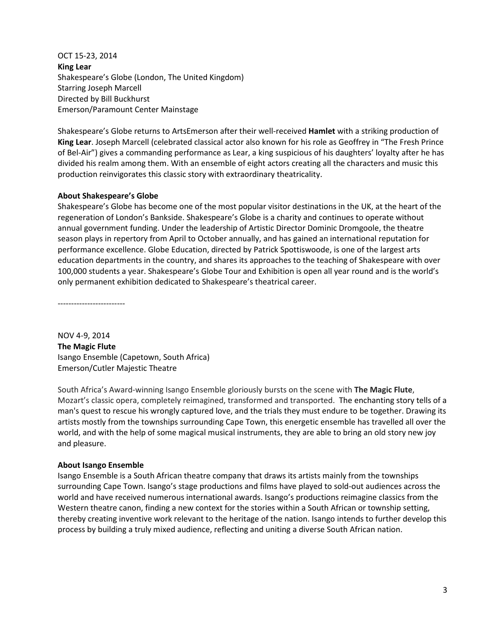OCT 15-23, 2014 **King Lear** Shakespeare's Globe (London, The United Kingdom) Starring Joseph Marcell Directed by Bill Buckhurst Emerson/Paramount Center Mainstage

Shakespeare's Globe returns to ArtsEmerson after their well-received **Hamlet** with a striking production of **King Lear**. Joseph Marcell (celebrated classical actor also known for his role as Geoffrey in "The Fresh Prince of Bel-Air") gives a commanding performance as Lear, a king suspicious of his daughters' loyalty after he has divided his realm among them. With an ensemble of eight actors creating all the characters and music this production reinvigorates this classic story with extraordinary theatricality.

## **About Shakespeare's Globe**

Shakespeare's Globe has become one of the most popular visitor destinations in the UK, at the heart of the regeneration of London's Bankside. Shakespeare's Globe is a charity and continues to operate without annual government funding. Under the leadership of Artistic Director Dominic Dromgoole, the theatre season plays in repertory from April to October annually, and has gained an international reputation for performance excellence. Globe Education, directed by Patrick Spottiswoode, is one of the largest arts education departments in the country, and shares its approaches to the teaching of Shakespeare with over 100,000 students a year. Shakespeare's Globe Tour and Exhibition is open all year round and is the world's only permanent exhibition dedicated to Shakespeare's theatrical career.

-------------------------

NOV 4-9, 2014 **The Magic Flute**  Isango Ensemble (Capetown, South Africa) Emerson/Cutler Majestic Theatre

South Africa's Award-winning Isango Ensemble gloriously bursts on the scene with **The Magic Flute**, Mozart's classic opera, completely reimagined, transformed and transported. The enchanting story tells of a man's quest to rescue his wrongly captured love, and the trials they must endure to be together. Drawing its artists mostly from the townships surrounding Cape Town, this energetic ensemble has travelled all over the world, and with the help of some magical musical instruments, they are able to bring an old story new joy and pleasure.

## **About Isango Ensemble**

Isango Ensemble is a South African theatre company that draws its artists mainly from the townships surrounding Cape Town. Isango's stage productions and films have played to sold-out audiences across the world and have received numerous international awards. Isango's productions reimagine classics from the Western theatre canon, finding a new context for the stories within a South African or township setting, thereby creating inventive work relevant to the heritage of the nation. Isango intends to further develop this process by building a truly mixed audience, reflecting and uniting a diverse South African nation.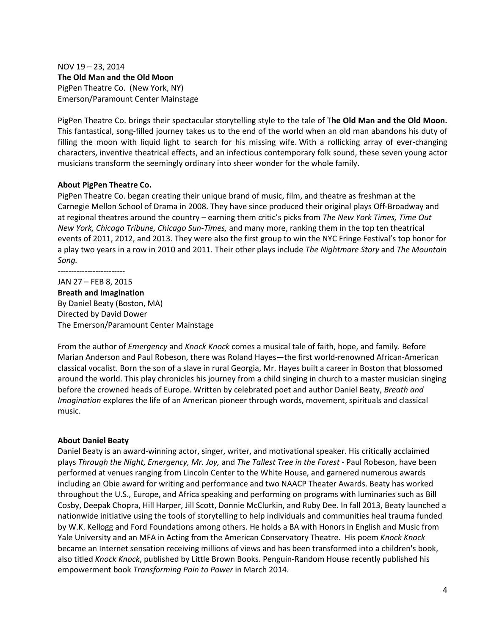NOV 19 – 23, 2014 **The Old Man and the Old Moon**  PigPen Theatre Co. (New York, NY) Emerson/Paramount Center Mainstage

PigPen Theatre Co. brings their spectacular storytelling style to the tale of T**he Old Man and the Old Moon.**  This fantastical, song-filled journey takes us to the end of the world when an old man abandons his duty of filling the moon with liquid light to search for his missing wife. With a rollicking array of ever-changing characters, inventive theatrical effects, and an infectious contemporary folk sound, these seven young actor musicians transform the seemingly ordinary into sheer wonder for the whole family.

#### **About PigPen Theatre Co.**

PigPen Theatre Co. began creating their unique brand of music, film, and theatre as freshman at the Carnegie Mellon School of Drama in 2008. They have since produced their original plays Off-Broadway and at regional theatres around the country – earning them critic's picks from *The New York Times, Time Out New York, Chicago Tribune, Chicago Sun-Times,* and many more, ranking them in the top ten theatrical events of 2011, 2012, and 2013. They were also the first group to win the NYC Fringe Festival's top honor for a play two years in a row in 2010 and 2011. Their other plays include *The Nightmare Story* and *The Mountain Song.*

-------------------------

JAN 27 – FEB 8, 2015 **Breath and Imagination**  By Daniel Beaty (Boston, MA) Directed by David Dower The Emerson/Paramount Center Mainstage

From the author of *Emergency* and *Knock Knock* comes a musical tale of faith, hope, and family*.* Before Marian Anderson and Paul Robeson, there was Roland Hayes—the first world-renowned African-American classical vocalist. Born the son of a slave in rural Georgia, Mr. Hayes built a career in Boston that blossomed around the world. This play chronicles his journey from a child singing in church to a master musician singing before the crowned heads of Europe. Written by celebrated poet and author Daniel Beaty, *Breath and Imagination* explores the life of an American pioneer through words, movement, spirituals and classical music.

#### **About Daniel Beaty**

Daniel Beaty is an award-winning actor, singer, writer, and motivational speaker. His critically acclaimed plays *Through the Night, Emergency, Mr. Joy,* and *The Tallest Tree in the Forest* - Paul Robeson, have been performed at venues ranging from Lincoln Center to the White House, and garnered numerous awards including an Obie award for writing and performance and two NAACP Theater Awards. Beaty has worked throughout the U.S., Europe, and Africa speaking and performing on programs with luminaries such as Bill Cosby, Deepak Chopra, Hill Harper, Jill Scott, Donnie McClurkin, and Ruby Dee. In fall 2013, Beaty launched a nationwide initiative using the tools of storytelling to help individuals and communities heal trauma funded by W.K. Kellogg and Ford Foundations among others. He holds a BA with Honors in English and Music from Yale University and an MFA in Acting from the American Conservatory Theatre. His poem *Knock Knock* became an Internet sensation receiving millions of views and has been transformed into a children's book, also titled *Knock Knock*, published by Little Brown Books. Penguin-Random House recently published his empowerment book *Transforming Pain to Power* in March 2014.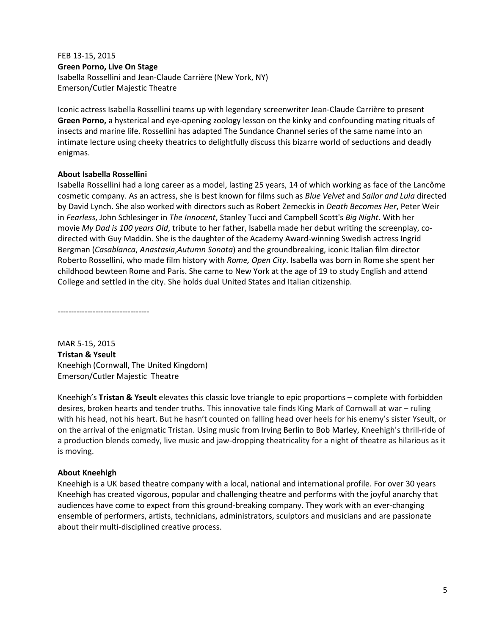FEB 13-15, 2015 **Green Porno, Live On Stage**  Isabella Rossellini and Jean-Claude Carrière (New York, NY) Emerson/Cutler Majestic Theatre

Iconic actress Isabella Rossellini teams up with legendary screenwriter Jean-Claude Carrière to present **Green Porno,** a hysterical and eye-opening zoology lesson on the kinky and confounding mating rituals of insects and marine life. Rossellini has adapted The Sundance Channel series of the same name into an intimate lecture using cheeky theatrics to delightfully discuss this bizarre world of seductions and deadly enigmas.

# **About Isabella Rossellini**

Isabella Rossellini had a long career as a model, lasting 25 years, 14 of which working as face of the Lancôme cosmetic company. As an actress, she is best known for films such as *Blue Velvet* and *Sailor and Lula* directed by David Lynch. She also worked with directors such as Robert Zemeckis in *Death Becomes Her*, Peter Weir in *Fearless*, John Schlesinger in *The Innocent*, Stanley Tucci and Campbell Scott's *Big Night*. With her movie *My Dad is 100 years Old*, tribute to her father, Isabella made her debut writing the screenplay, codirected with Guy Maddin. She is the daughter of the Academy Award-winning Swedish actress Ingrid Bergman (*Casablanca*, *Anastasia*,*Autumn Sonata*) and the groundbreaking, iconic Italian film director Roberto Rossellini, who made film history with *Rome, Open City*. Isabella was born in Rome she spent her childhood bewteen Rome and Paris. She came to New York at the age of 19 to study English and attend College and settled in the city. She holds dual United States and Italian citizenship.

----------------------------------

MAR 5-15, 2015 **Tristan & Yseult**  Kneehigh (Cornwall, The United Kingdom) Emerson/Cutler Majestic Theatre

Kneehigh's **Tristan & Yseult** elevates this classic love triangle to epic proportions – complete with forbidden desires, broken hearts and tender truths. This innovative tale finds King Mark of Cornwall at war – ruling with his head, not his heart. But he hasn't counted on falling head over heels for his enemy's sister Yseult, or on the arrival of the enigmatic Tristan. Using music from Irving Berlin to Bob Marley, Kneehigh's thrill-ride of a production blends comedy, live music and jaw-dropping theatricality for a night of theatre as hilarious as it is moving.

## **About Kneehigh**

Kneehigh is a UK based theatre company with a local, national and international profile. For over 30 years Kneehigh has created vigorous, popular and challenging theatre and performs with the joyful anarchy that audiences have come to expect from this ground-breaking company. They work with an ever-changing ensemble of performers, artists, technicians, administrators, sculptors and musicians and are passionate about their multi-disciplined creative process.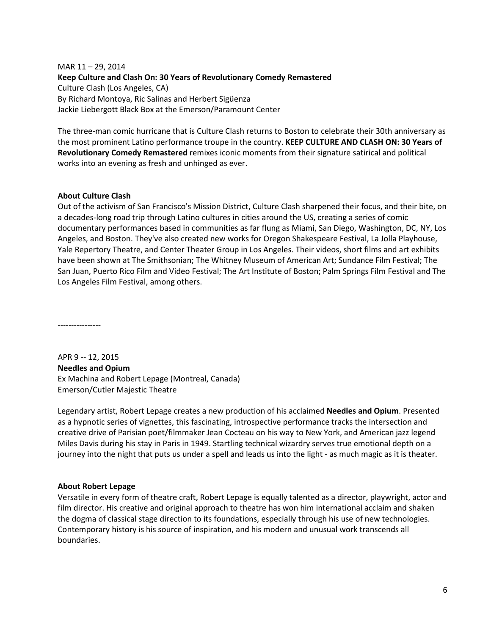MAR 11 – 29, 2014 **Keep Culture and Clash On: 30 Years of Revolutionary Comedy Remastered**  Culture Clash (Los Angeles, CA) By Richard Montoya, Ric Salinas and Herbert Sigüenza Jackie Liebergott Black Box at the Emerson/Paramount Center

The three-man comic hurricane that is Culture Clash returns to Boston to celebrate their 30th anniversary as the most prominent Latino performance troupe in the country. **KEEP CULTURE AND CLASH ON: 30 Years of Revolutionary Comedy Remastered** remixes iconic moments from their signature satirical and political works into an evening as fresh and unhinged as ever.

## **About Culture Clash**

Out of the activism of San Francisco's Mission District, Culture Clash sharpened their focus, and their bite, on a decades-long road trip through Latino cultures in cities around the US, creating a series of comic documentary performances based in communities as far flung as Miami, San Diego, Washington, DC, NY, Los Angeles, and Boston. They've also created new works for Oregon Shakespeare Festival, La Jolla Playhouse, Yale Repertory Theatre, and Center Theater Group in Los Angeles. Their videos, short films and art exhibits have been shown at The Smithsonian; The Whitney Museum of American Art; Sundance Film Festival; The San Juan, Puerto Rico Film and Video Festival; The Art Institute of Boston; Palm Springs Film Festival and The Los Angeles Film Festival, among others.

----------------

APR 9 -- 12, 2015 **Needles and Opium**  Ex Machina and Robert Lepage (Montreal, Canada) Emerson/Cutler Majestic Theatre

Legendary artist, Robert Lepage creates a new production of his acclaimed **Needles and Opium**. Presented as a hypnotic series of vignettes, this fascinating, introspective performance tracks the intersection and creative drive of Parisian poet/filmmaker Jean Cocteau on his way to New York, and American jazz legend Miles Davis during his stay in Paris in 1949. Startling technical wizardry serves true emotional depth on a journey into the night that puts us under a spell and leads us into the light - as much magic as it is theater.

## **About Robert Lepage**

Versatile in every form of theatre craft, Robert Lepage is equally talented as a director, playwright, actor and film director. His creative and original approach to theatre has won him international acclaim and shaken the dogma of classical stage direction to its foundations, especially through his use of new technologies. Contemporary history is his source of inspiration, and his modern and unusual work transcends all boundaries.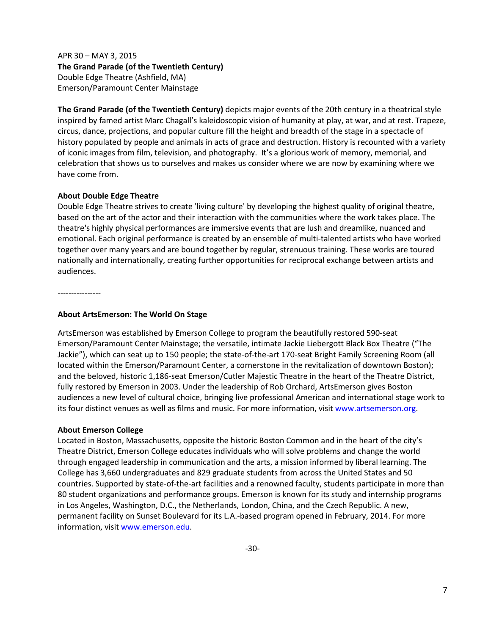APR 30 – MAY 3, 2015 **The Grand Parade (of the Twentieth Century)** Double Edge Theatre (Ashfield, MA) Emerson/Paramount Center Mainstage

**The Grand Parade (of the Twentieth Century)** depicts major events of the 20th century in a theatrical style inspired by famed artist Marc Chagall's kaleidoscopic vision of humanity at play, at war, and at rest. Trapeze, circus, dance, projections, and popular culture fill the height and breadth of the stage in a spectacle of history populated by people and animals in acts of grace and destruction. History is recounted with a variety of iconic images from film, television, and photography. It's a glorious work of memory, memorial, and celebration that shows us to ourselves and makes us consider where we are now by examining where we have come from.

## **About Double Edge Theatre**

Double Edge Theatre strives to create 'living culture' by developing the highest quality of original theatre, based on the art of the actor and their interaction with the communities where the work takes place. The theatre's highly physical performances are immersive events that are lush and dreamlike, nuanced and emotional. Each original performance is created by an ensemble of multi-talented artists who have worked together over many years and are bound together by regular, strenuous training. These works are toured nationally and internationally, creating further opportunities for reciprocal exchange between artists and audiences.

----------------

#### **About ArtsEmerson: The World On Stage**

ArtsEmerson was established by Emerson College to program the beautifully restored 590-seat Emerson/Paramount Center Mainstage; the versatile, intimate Jackie Liebergott Black Box Theatre ("The Jackie"), which can seat up to 150 people; the state-of-the-art 170-seat Bright Family Screening Room (all located within the Emerson/Paramount Center, a cornerstone in the revitalization of downtown Boston); and the beloved, historic 1,186-seat Emerson/Cutler Majestic Theatre in the heart of the Theatre District, fully restored by Emerson in 2003. Under the leadership of Rob Orchard, ArtsEmerson gives Boston audiences a new level of cultural choice, bringing live professional American and international stage work to its four distinct venues as well as films and music. For more information, visit www.artsemerson.org.

## **About Emerson College**

Located in Boston, Massachusetts, opposite the historic Boston Common and in the heart of the city's Theatre District, Emerson College educates individuals who will solve problems and change the world through engaged leadership in communication and the arts, a mission informed by liberal learning. The College has 3,660 undergraduates and 829 graduate students from across the United States and 50 countries. Supported by state-of-the-art facilities and a renowned faculty, students participate in more than 80 student organizations and performance groups. Emerson is known for its study and internship programs in Los Angeles, Washington, D.C., the Netherlands, London, China, and the Czech Republic. A new, permanent facility on Sunset Boulevard for its L.A.-based program opened in February, 2014. For more information, visit www.emerson.edu.